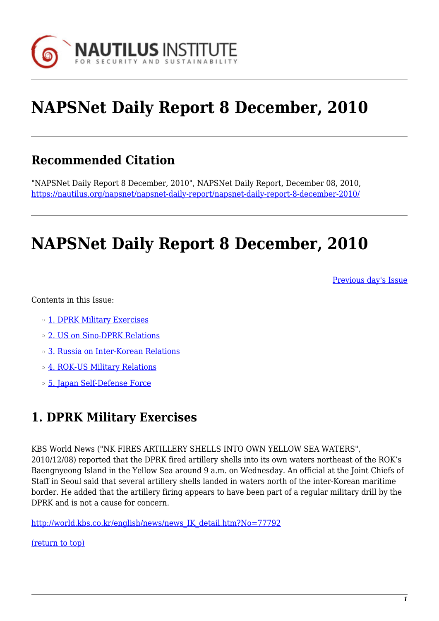

# **NAPSNet Daily Report 8 December, 2010**

## **Recommended Citation**

"NAPSNet Daily Report 8 December, 2010", NAPSNet Daily Report, December 08, 2010, <https://nautilus.org/napsnet/napsnet-daily-report/napsnet-daily-report-8-december-2010/>

## **NAPSNet Daily Report 8 December, 2010**

[Previous day's Issue](http://nautilus.org/mailing-lists/napsnet/dr/2010/napsnet-daily-report-7-december-2010)

Contents in this Issue:

- ❍ [1. DPRK Military Exercises](http://gc.nautilus.org/Nautilus/internal/internal/training/napsnet/#item2)
- ❍ [2. US on Sino-DPRK Relations](http://gc.nautilus.org/Nautilus/internal/internal/training/napsnet/#item3)
- ❍ [3. Russia on Inter-Korean Relations](http://gc.nautilus.org/Nautilus/internal/internal/training/napsnet/#item4)
- ❍ [4. ROK-US Military Relations](http://gc.nautilus.org/Nautilus/internal/internal/training/napsnet/#item5)
- ❍ [5. Japan Self-Defense Force](http://gc.nautilus.org/Nautilus/internal/internal/training/napsnet/#item6)

## **1. DPRK Military Exercises**

KBS World News ("NK FIRES ARTILLERY SHELLS INTO OWN YELLOW SEA WATERS",

2010/12/08) reported that the DPRK fired artillery shells into its own waters northeast of the ROK's Baengnyeong Island in the Yellow Sea around 9 a.m. on Wednesday. An official at the Joint Chiefs of Staff in Seoul said that several artillery shells landed in waters north of the inter-Korean maritime border. He added that the artillery firing appears to have been part of a regular military drill by the DPRK and is not a cause for concern.

[http://world.kbs.co.kr/english/news/news\\_IK\\_detail.htm?No=77792](http://world.kbs.co.kr/english/news/news_IK_detail.htm?No=77792)

[\(return to top\)](http://gc.nautilus.org/Nautilus/internal/internal/training/napsnet/#top)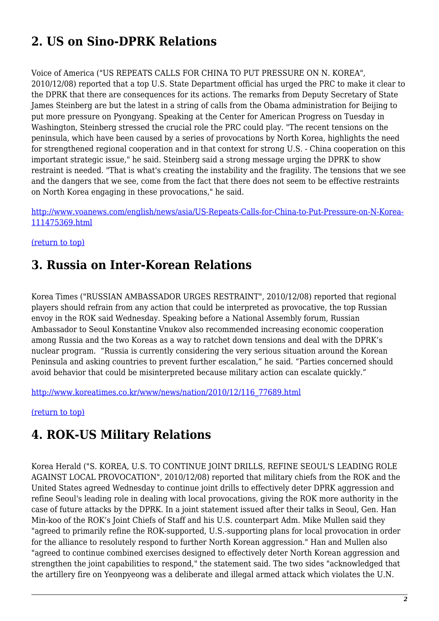## **2. US on Sino-DPRK Relations**

Voice of America ("US REPEATS CALLS FOR CHINA TO PUT PRESSURE ON N. KOREA", 2010/12/08) reported that a top U.S. State Department official has urged the PRC to make it clear to the DPRK that there are consequences for its actions. The remarks from Deputy Secretary of State James Steinberg are but the latest in a string of calls from the Obama administration for Beijing to put more pressure on Pyongyang. Speaking at the Center for American Progress on Tuesday in Washington, Steinberg stressed the crucial role the PRC could play. "The recent tensions on the peninsula, which have been caused by a series of provocations by North Korea, highlights the need for strengthened regional cooperation and in that context for strong U.S. - China cooperation on this important strategic issue," he said. Steinberg said a strong message urging the DPRK to show restraint is needed. "That is what's creating the instability and the fragility. The tensions that we see and the dangers that we see, come from the fact that there does not seem to be effective restraints on North Korea engaging in these provocations," he said.

[http://www.voanews.com/english/news/asia/US-Repeats-Calls-for-China-to-Put-Pressure-on-N-Korea-](http://www.voanews.com/english/news/asia/US-Repeats-Calls-for-China-to-Put-Pressure-on-N-Korea-111475369.html)[111475369.html](http://www.voanews.com/english/news/asia/US-Repeats-Calls-for-China-to-Put-Pressure-on-N-Korea-111475369.html)

[\(return to top\)](http://gc.nautilus.org/Nautilus/internal/internal/training/napsnet/#top)

### **3. Russia on Inter-Korean Relations**

Korea Times ("RUSSIAN AMBASSADOR URGES RESTRAINT", 2010/12/08) reported that regional players should refrain from any action that could be interpreted as provocative, the top Russian envoy in the ROK said Wednesday. Speaking before a National Assembly forum, Russian Ambassador to Seoul Konstantine Vnukov also recommended increasing economic cooperation among Russia and the two Koreas as a way to ratchet down tensions and deal with the DPRK's nuclear program. "Russia is currently considering the very serious situation around the Korean Peninsula and asking countries to prevent further escalation," he said. "Parties concerned should avoid behavior that could be misinterpreted because military action can escalate quickly."

[http://www.koreatimes.co.kr/www/news/nation/2010/12/116\\_77689.html](http://www.koreatimes.co.kr/www/news/nation/2010/12/116_77689.html)

[\(return to top\)](http://gc.nautilus.org/Nautilus/internal/internal/training/napsnet/#top)

### **4. ROK-US Military Relations**

Korea Herald ("S. KOREA, U.S. TO CONTINUE JOINT DRILLS, REFINE SEOUL'S LEADING ROLE AGAINST LOCAL PROVOCATION", 2010/12/08) reported that military chiefs from the ROK and the United States agreed Wednesday to continue joint drills to effectively deter DPRK aggression and refine Seoul's leading role in dealing with local provocations, giving the ROK more authority in the case of future attacks by the DPRK. In a joint statement issued after their talks in Seoul, Gen. Han Min-koo of the ROK's Joint Chiefs of Staff and his U.S. counterpart Adm. Mike Mullen said they "agreed to primarily refine the ROK-supported, U.S.-supporting plans for local provocation in order for the alliance to resolutely respond to further North Korean aggression." Han and Mullen also "agreed to continue combined exercises designed to effectively deter North Korean aggression and strengthen the joint capabilities to respond," the statement said. The two sides "acknowledged that the artillery fire on Yeonpyeong was a deliberate and illegal armed attack which violates the U.N.